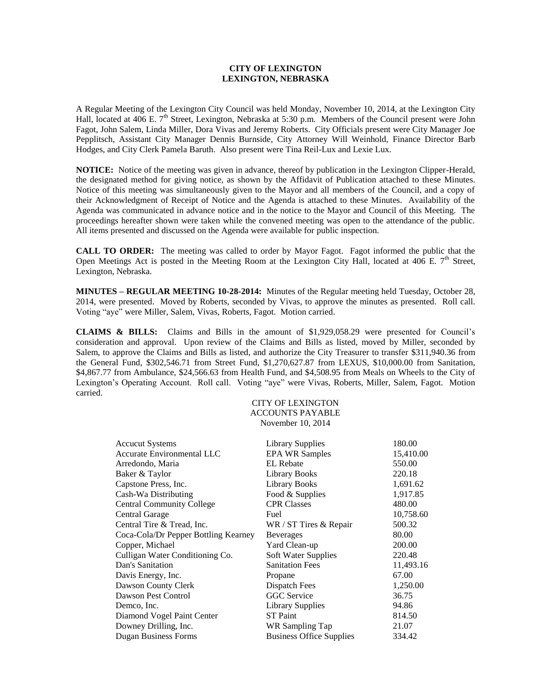## **CITY OF LEXINGTON LEXINGTON, NEBRASKA**

A Regular Meeting of the Lexington City Council was held Monday, November 10, 2014, at the Lexington City Hall, located at 406 E. 7<sup>th</sup> Street, Lexington, Nebraska at 5:30 p.m. Members of the Council present were John Fagot, John Salem, Linda Miller, Dora Vivas and Jeremy Roberts. City Officials present were City Manager Joe Pepplitsch, Assistant City Manager Dennis Burnside, City Attorney Will Weinhold, Finance Director Barb Hodges, and City Clerk Pamela Baruth. Also present were Tina Reil-Lux and Lexie Lux.

**NOTICE:** Notice of the meeting was given in advance, thereof by publication in the Lexington Clipper-Herald, the designated method for giving notice, as shown by the Affidavit of Publication attached to these Minutes. Notice of this meeting was simultaneously given to the Mayor and all members of the Council, and a copy of their Acknowledgment of Receipt of Notice and the Agenda is attached to these Minutes. Availability of the Agenda was communicated in advance notice and in the notice to the Mayor and Council of this Meeting. The proceedings hereafter shown were taken while the convened meeting was open to the attendance of the public. All items presented and discussed on the Agenda were available for public inspection.

**CALL TO ORDER:** The meeting was called to order by Mayor Fagot. Fagot informed the public that the Open Meetings Act is posted in the Meeting Room at the Lexington City Hall, located at 406 E.  $7<sup>th</sup>$  Street, Lexington, Nebraska.

**MINUTES – REGULAR MEETING 10-28-2014:** Minutes of the Regular meeting held Tuesday, October 28, 2014, were presented. Moved by Roberts, seconded by Vivas, to approve the minutes as presented. Roll call. Voting "aye" were Miller, Salem, Vivas, Roberts, Fagot. Motion carried.

**CLAIMS & BILLS:** Claims and Bills in the amount of \$1,929,058.29 were presented for Council's consideration and approval. Upon review of the Claims and Bills as listed, moved by Miller, seconded by Salem, to approve the Claims and Bills as listed, and authorize the City Treasurer to transfer \$311,940.36 from the General Fund, \$302,546.71 from Street Fund, \$1,270,627.87 from LEXUS, \$10,000.00 from Sanitation, \$4,867.77 from Ambulance, \$24,566.63 from Health Fund, and \$4,508.95 from Meals on Wheels to the City of Lexington's Operating Account. Roll call. Voting "aye" were Vivas, Roberts, Miller, Salem, Fagot. Motion carried.

### CITY OF LEXINGTON ACCOUNTS PAYABLE November 10, 2014

| <b>Accucut Systems</b>               | Library Supplies                | 180.00    |
|--------------------------------------|---------------------------------|-----------|
| Accurate Environmental LLC           | <b>EPA WR Samples</b>           | 15,410.00 |
| Arredondo, Maria                     | <b>EL</b> Rebate                | 550.00    |
| Baker & Taylor                       | <b>Library Books</b>            | 220.18    |
| Capstone Press, Inc.                 | <b>Library Books</b>            | 1,691.62  |
| Cash-Wa Distributing                 | Food & Supplies                 | 1,917.85  |
| <b>Central Community College</b>     | <b>CPR Classes</b>              | 480.00    |
| Central Garage                       | Fuel                            | 10,758.60 |
| Central Tire & Tread, Inc.           | WR / ST Tires & Repair          | 500.32    |
| Coca-Cola/Dr Pepper Bottling Kearney | <b>Beverages</b>                | 80.00     |
| Copper, Michael                      | Yard Clean-up                   | 200.00    |
| Culligan Water Conditioning Co.      | Soft Water Supplies             | 220.48    |
| Dan's Sanitation                     | <b>Sanitation Fees</b>          | 11,493.16 |
| Davis Energy, Inc.                   | Propane                         | 67.00     |
| Dawson County Clerk                  | Dispatch Fees                   | 1,250.00  |
| Dawson Pest Control                  | <b>GGC</b> Service              | 36.75     |
| Demco, Inc.                          | <b>Library Supplies</b>         | 94.86     |
| Diamond Vogel Paint Center           | <b>ST</b> Paint                 | 814.50    |
| Downey Drilling, Inc.                | WR Sampling Tap                 | 21.07     |
| <b>Dugan Business Forms</b>          | <b>Business Office Supplies</b> | 334.42    |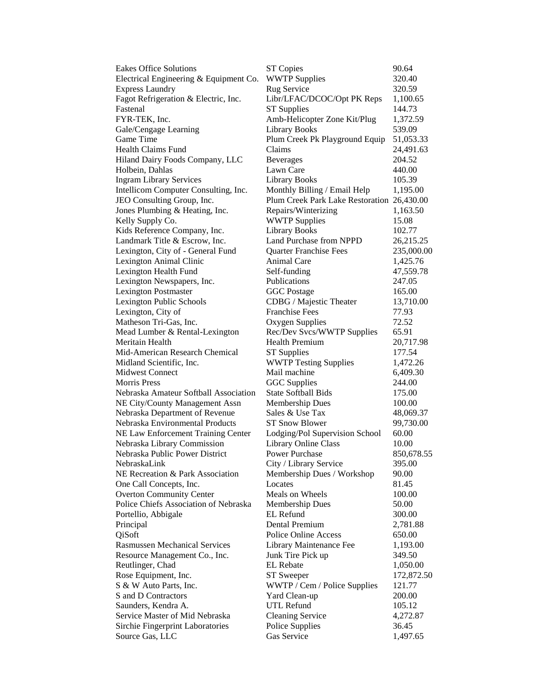| <b>Eakes Office Solutions</b>          | <b>ST Copies</b>                           | 90.64      |
|----------------------------------------|--------------------------------------------|------------|
| Electrical Engineering & Equipment Co. | <b>WWTP Supplies</b>                       | 320.40     |
| <b>Express Laundry</b>                 | Rug Service                                | 320.59     |
| Fagot Refrigeration & Electric, Inc.   | Libr/LFAC/DCOC/Opt PK Reps                 | 1,100.65   |
| Fastenal                               | <b>ST Supplies</b>                         | 144.73     |
| FYR-TEK, Inc.                          | Amb-Helicopter Zone Kit/Plug               | 1,372.59   |
| Gale/Cengage Learning                  | <b>Library Books</b>                       | 539.09     |
| Game Time                              | Plum Creek Pk Playground Equip             | 51,053.33  |
| <b>Health Claims Fund</b>              | Claims                                     | 24,491.63  |
| Hiland Dairy Foods Company, LLC        | <b>Beverages</b>                           | 204.52     |
| Holbein, Dahlas                        | Lawn Care                                  | 440.00     |
| <b>Ingram Library Services</b>         | <b>Library Books</b>                       | 105.39     |
| Intellicom Computer Consulting, Inc.   | Monthly Billing / Email Help               | 1,195.00   |
| JEO Consulting Group, Inc.             | Plum Creek Park Lake Restoration 26,430.00 |            |
| Jones Plumbing & Heating, Inc.         | Repairs/Winterizing                        | 1,163.50   |
| Kelly Supply Co.                       | <b>WWTP Supplies</b>                       | 15.08      |
| Kids Reference Company, Inc.           | <b>Library Books</b>                       | 102.77     |
| Landmark Title & Escrow, Inc.          | Land Purchase from NPPD                    | 26,215.25  |
| Lexington, City of - General Fund      | <b>Quarter Franchise Fees</b>              | 235,000.00 |
| Lexington Animal Clinic                | Animal Care                                | 1,425.76   |
| Lexington Health Fund                  | Self-funding                               | 47,559.78  |
| Lexington Newspapers, Inc.             | Publications                               | 247.05     |
| <b>Lexington Postmaster</b>            | <b>GGC</b> Postage                         | 165.00     |
| Lexington Public Schools               | CDBG / Majestic Theater                    | 13,710.00  |
| Lexington, City of                     | <b>Franchise Fees</b>                      | 77.93      |
| Matheson Tri-Gas, Inc.                 | Oxygen Supplies                            | 72.52      |
| Mead Lumber & Rental-Lexington         | Rec/Dev Svcs/WWTP Supplies                 | 65.91      |
| Meritain Health                        | <b>Health Premium</b>                      | 20,717.98  |
| Mid-American Research Chemical         | <b>ST</b> Supplies                         | 177.54     |
| Midland Scientific, Inc.               | <b>WWTP Testing Supplies</b>               | 1,472.26   |
| <b>Midwest Connect</b>                 | Mail machine                               | 6,409.30   |
| <b>Morris Press</b>                    | <b>GGC</b> Supplies                        | 244.00     |
| Nebraska Amateur Softball Association  | <b>State Softball Bids</b>                 | 175.00     |
| NE City/County Management Assn         | Membership Dues                            | 100.00     |
| Nebraska Department of Revenue         | Sales & Use Tax                            | 48,069.37  |
| Nebraska Environmental Products        | <b>ST Snow Blower</b>                      | 99,730.00  |
| NE Law Enforcement Training Center     | Lodging/Pol Supervision School             | 60.00      |
| Nebraska Library Commission            | <b>Library Online Class</b>                | 10.00      |
| Nebraska Public Power District         | <b>Power Purchase</b>                      | 850,678.55 |
| NebraskaLink                           | City / Library Service                     | 395.00     |
| NE Recreation & Park Association       | Membership Dues / Workshop                 | 90.00      |
| One Call Concepts, Inc.                | Locates                                    | 81.45      |
| <b>Overton Community Center</b>        | Meals on Wheels                            | 100.00     |
| Police Chiefs Association of Nebraska  | Membership Dues                            | 50.00      |
| Portellio, Abbigale                    | EL Refund                                  | 300.00     |
| Principal                              | Dental Premium                             | 2,781.88   |
| QiSoft                                 | <b>Police Online Access</b>                | 650.00     |
| <b>Rasmussen Mechanical Services</b>   | Library Maintenance Fee                    | 1,193.00   |
| Resource Management Co., Inc.          | Junk Tire Pick up                          | 349.50     |
| Reutlinger, Chad                       | <b>EL</b> Rebate                           | 1,050.00   |
| Rose Equipment, Inc.                   | <b>ST Sweeper</b>                          | 172,872.50 |
| S & W Auto Parts, Inc.                 | WWTP / Cem / Police Supplies               | 121.77     |
| S and D Contractors                    | Yard Clean-up                              | 200.00     |
| Saunders, Kendra A.                    | <b>UTL Refund</b>                          | 105.12     |
| Service Master of Mid Nebraska         | <b>Cleaning Service</b>                    | 4,272.87   |
| Sirchie Fingerprint Laboratories       | Police Supplies                            | 36.45      |
| Source Gas, LLC                        | Gas Service                                | 1,497.65   |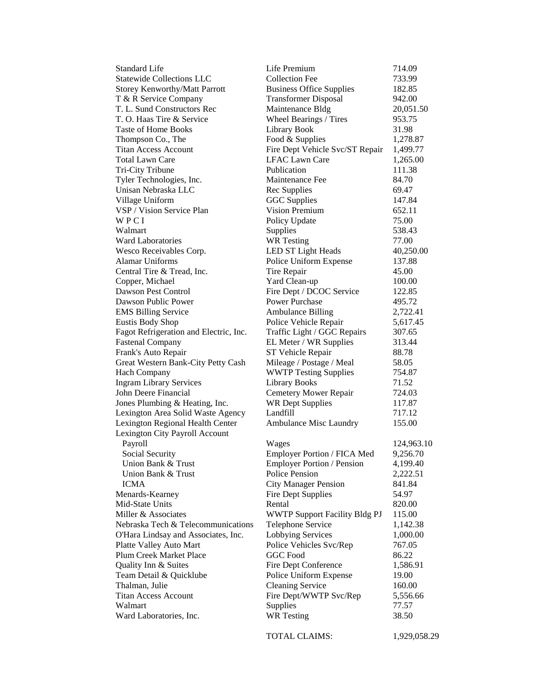| <b>Standard Life</b>                   | Life Premium                         | 714.09     |
|----------------------------------------|--------------------------------------|------------|
| <b>Statewide Collections LLC</b>       | <b>Collection Fee</b>                | 733.99     |
| <b>Storey Kenworthy/Matt Parrott</b>   | <b>Business Office Supplies</b>      | 182.85     |
| T & R Service Company                  | <b>Transformer Disposal</b>          | 942.00     |
| T. L. Sund Constructors Rec            | Maintenance Bldg                     | 20,051.50  |
| T. O. Haas Tire & Service              | Wheel Bearings / Tires               | 953.75     |
| <b>Taste of Home Books</b>             | <b>Library Book</b>                  | 31.98      |
| Thompson Co., The                      | Food & Supplies                      | 1,278.87   |
| <b>Titan Access Account</b>            | Fire Dept Vehicle Svc/ST Repair      | 1,499.77   |
| <b>Total Lawn Care</b>                 | <b>LFAC Lawn Care</b>                | 1,265.00   |
| Tri-City Tribune                       | Publication                          | 111.38     |
| Tyler Technologies, Inc.               | Maintenance Fee                      | 84.70      |
| Unisan Nebraska LLC                    | Rec Supplies                         | 69.47      |
| Village Uniform                        | <b>GGC</b> Supplies                  | 147.84     |
| VSP / Vision Service Plan              | Vision Premium                       | 652.11     |
| WPCI                                   | Policy Update                        | 75.00      |
| Walmart                                | Supplies                             | 538.43     |
| <b>Ward Laboratories</b>               | <b>WR</b> Testing                    | 77.00      |
| Wesco Receivables Corp.                | LED ST Light Heads                   | 40,250.00  |
| <b>Alamar Uniforms</b>                 | Police Uniform Expense               | 137.88     |
| Central Tire & Tread, Inc.             | Tire Repair                          | 45.00      |
| Copper, Michael                        | Yard Clean-up                        | 100.00     |
| Dawson Pest Control                    | Fire Dept / DCOC Service             | 122.85     |
| Dawson Public Power                    | <b>Power Purchase</b>                | 495.72     |
| <b>EMS Billing Service</b>             | <b>Ambulance Billing</b>             | 2,722.41   |
| <b>Eustis Body Shop</b>                | Police Vehicle Repair                | 5,617.45   |
| Fagot Refrigeration and Electric, Inc. | Traffic Light / GGC Repairs          | 307.65     |
| <b>Fastenal Company</b>                | EL Meter / WR Supplies               | 313.44     |
| Frank's Auto Repair                    | ST Vehicle Repair                    | 88.78      |
| Great Western Bank-City Petty Cash     | Mileage / Postage / Meal             | 58.05      |
| <b>Hach Company</b>                    | <b>WWTP Testing Supplies</b>         | 754.87     |
| <b>Ingram Library Services</b>         | <b>Library Books</b>                 | 71.52      |
| John Deere Financial                   | Cemetery Mower Repair                | 724.03     |
| Jones Plumbing & Heating, Inc.         | <b>WR Dept Supplies</b>              | 117.87     |
| Lexington Area Solid Waste Agency      | Landfill                             | 717.12     |
| Lexington Regional Health Center       | Ambulance Misc Laundry               | 155.00     |
| Lexington City Payroll Account         |                                      |            |
| Payroll                                | Wages                                | 124,963.10 |
| Social Security                        | Employer Portion / FICA Med          | 9,256.70   |
| Union Bank & Trust                     | <b>Employer Portion / Pension</b>    | 4,199.40   |
| Union Bank & Trust                     | Police Pension                       | 2,222.51   |
| <b>ICMA</b>                            | <b>City Manager Pension</b>          | 841.84     |
| Menards-Kearney                        | <b>Fire Dept Supplies</b>            | 54.97      |
| Mid-State Units                        | Rental                               | 820.00     |
| Miller & Associates                    | <b>WWTP Support Facility Bldg PJ</b> | 115.00     |
| Nebraska Tech & Telecommunications     | Telephone Service                    | 1,142.38   |
| O'Hara Lindsay and Associates, Inc.    | <b>Lobbying Services</b>             | 1,000.00   |
| Platte Valley Auto Mart                | Police Vehicles Svc/Rep              | 767.05     |
| Plum Creek Market Place                | <b>GGC</b> Food                      | 86.22      |
| Quality Inn & Suites                   | Fire Dept Conference                 | 1,586.91   |
| Team Detail & Quicklube                | Police Uniform Expense               | 19.00      |
| Thalman, Julie                         | <b>Cleaning Service</b>              | 160.00     |
| <b>Titan Access Account</b>            | Fire Dept/WWTP Svc/Rep               | 5,556.66   |
| Walmart                                | Supplies                             | 77.57      |
| Ward Laboratories, Inc.                | <b>WR</b> Testing                    | 38.50      |
|                                        |                                      |            |

TOTAL CLAIMS: 1,929,058.29